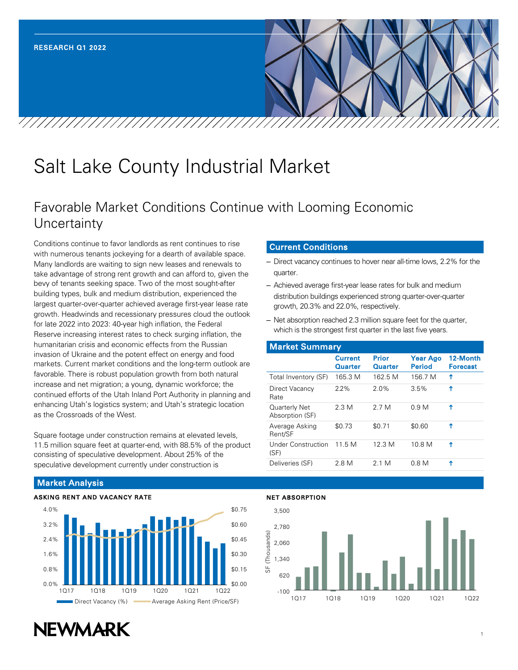# Salt Lake County Industrial Market

# Favorable Market Conditions Continue with Looming Economic **Uncertainty**

Conditions continue to favor landlords as rent continues to rise with numerous tenants jockeying for a dearth of available space. Many landlords are waiting to sign new leases and renewals to take advantage of strong rent growth and can afford to, given the bevy of tenants seeking space. Two of the most sought-after building types, bulk and medium distribution, experienced the largest quarter-over-quarter achieved average first-year lease rate growth. Headwinds and recessionary pressures cloud the outlook for late 2022 into 2023: 40-year high inflation, the Federal Reserve increasing interest rates to check surging inflation, the humanitarian crisis and economic effects from the Russian invasion of Ukraine and the potent effect on energy and food markets. Current market conditions and the long-term outlook are favorable. There is robust population growth from both natural increase and net migration; a young, dynamic workforce; the continued efforts of the Utah Inland Port Authority in planning and enhancing Utah's logistics system; and Utah's strategic location as the Crossroads of the West.

Square footage under construction remains at elevated levels, 11.5 million square feet at quarter-end, with 88.5% of the product consisting of speculative development. About 25% of the speculative development currently under construction is

# Current Conditions

- Direct vacancy continues to hover near all-time lows, 2.2% for the quarter.
- Achieved average first-year lease rates for bulk and medium distribution buildings experienced strong quarter-over-quarter growth, 20.3% and 22.0%, respectively.
- Net absorption reached 2.3 million square feet for the quarter, which is the strongest first quarter in the last five years.

| <b>Market Summary</b>            |                           |                  |                                  |                             |  |  |  |  |  |
|----------------------------------|---------------------------|------------------|----------------------------------|-----------------------------|--|--|--|--|--|
|                                  | <b>Current</b><br>Quarter | Prior<br>Quarter | <b>Year Ago</b><br><b>Period</b> | 12-Month<br><b>Forecast</b> |  |  |  |  |  |
| Total Inventory (SF)             | 165.3 M                   | 162 5 M          | 156.7 M                          | ↑                           |  |  |  |  |  |
| Direct Vacancy<br>Rate           | $2.2\%$                   | 2.0%             | 3.5%                             | ↑                           |  |  |  |  |  |
| Quarterly Net<br>Absorption (SF) | 2.3 M                     | 2.7 M            | 0.9 <sub>M</sub>                 | ↑                           |  |  |  |  |  |
| Average Asking<br>Rent/SF        | \$0.73                    | \$0.71           | \$0.60                           | ሳ                           |  |  |  |  |  |
| Under Construction<br>(SF)       | 11.5 M                    | 12.3M            | 10 8 M                           | Ϋ                           |  |  |  |  |  |
| Deliveries (SF)                  | 2.8 M                     | 2 1 M            | 0.8 <sub>M</sub>                 | ٨                           |  |  |  |  |  |

# Market Analysis





#### NET ABSORPTION

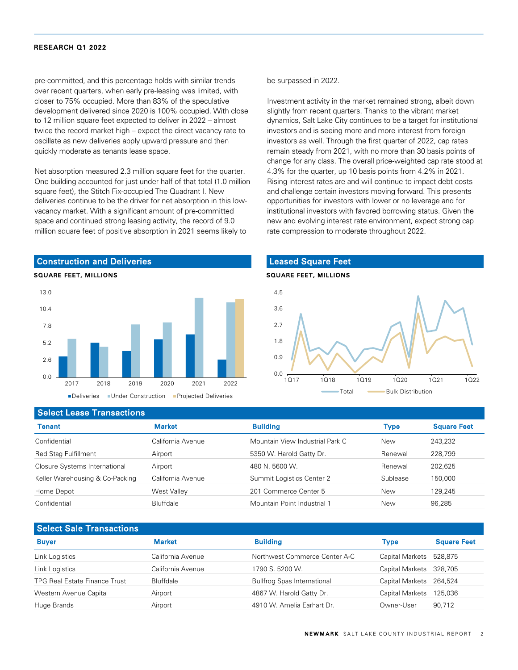pre-committed, and this percentage holds with similar trends over recent quarters, when early pre-leasing was limited, with closer to 75% occupied. More than 83% of the speculative development delivered since 2020 is 100% occupied. With close to 12 million square feet expected to deliver in 2022 – almost twice the record market high – expect the direct vacancy rate to oscillate as new deliveries apply upward pressure and then quickly moderate as tenants lease space.

Net absorption measured 2.3 million square feet for the quarter. One building accounted for just under half of that total (1.0 million square feet), the Stitch Fix-occupied The Quadrant I. New deliveries continue to be the driver for net absorption in this lowvacancy market. With a significant amount of pre-committed space and continued strong leasing activity, the record of 9.0 million square feet of positive absorption in 2021 seems likely to

#### Construction and Deliveries

#### SQUARE FEET, MILLIONS



■Deliveries ■Under Construction ■Projected Deliveries

be surpassed in 2022.

Investment activity in the market remained strong, albeit down slightly from recent quarters. Thanks to the vibrant market dynamics, Salt Lake City continues to be a target for institutional investors and is seeing more and more interest from foreign investors as well. Through the first quarter of 2022, cap rates remain steady from 2021, with no more than 30 basis points of change for any class. The overall price-weighted cap rate stood at 4.3% for the quarter, up 10 basis points from 4.2% in 2021. Rising interest rates are and will continue to impact debt costs and challenge certain investors moving forward. This presents opportunities for investors with lower or no leverage and for institutional investors with favored borrowing status. Given the new and evolving interest rate environment, expect strong cap rate compression to moderate throughout 2022.



#### Select Lease Transactions

| <b>Tenant</b>                   | <b>Market</b>     | <b>Building</b>                 | Type       | <b>Square Feet</b> |
|---------------------------------|-------------------|---------------------------------|------------|--------------------|
| Confidential                    | California Avenue | Mountain View Industrial Park C | <b>New</b> | 243,232            |
| <b>Red Stag Fulfillment</b>     | Airport           | 5350 W. Harold Gatty Dr.        | Renewal    | 228.799            |
| Closure Systems International   | Airport           | 480 N. 5600 W.                  | Renewal    | 202.625            |
| Keller Warehousing & Co-Packing | California Avenue | Summit Logistics Center 2       | Sublease   | 150,000            |
| Home Depot                      | West Valley       | 201 Commerce Center 5           | <b>New</b> | 129.245            |
| Confidential                    | <b>Bluffdale</b>  | Mountain Point Industrial 1     | New        | 96.285             |

| <b>Buyer</b>                         | <b>Market</b>     | <b>Building</b>                    | Type                    | <b>Square Feet</b> |
|--------------------------------------|-------------------|------------------------------------|-------------------------|--------------------|
| Link Logistics                       | California Avenue | Northwest Commerce Center A-C      | Capital Markets 528,875 |                    |
| Link Logistics                       | California Avenue | 1790 S. 5200 W.                    | Capital Markets 328,705 |                    |
| <b>TPG Real Estate Finance Trust</b> | <b>Bluffdale</b>  | <b>Bullfrog Spas International</b> | Capital Markets 264,524 |                    |
| Western Avenue Capital               | Airport           | 4867 W. Harold Gatty Dr.           | Capital Markets         | 125,036            |
| Huge Brands                          | Airport           | 4910 W. Amelia Earhart Dr.         | Owner-User              | 90,712             |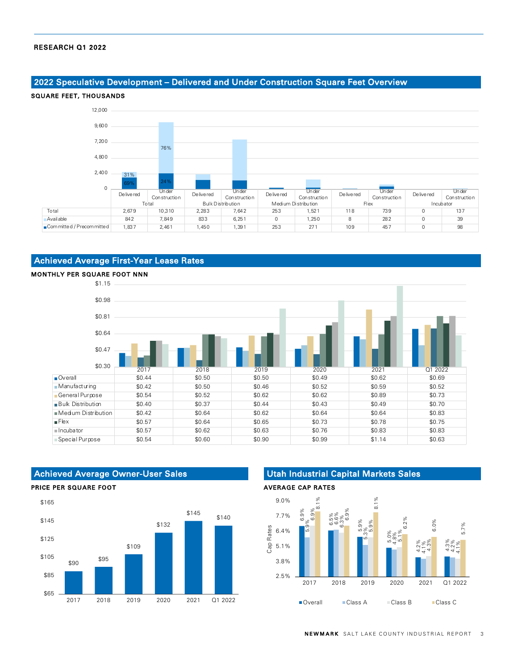# 2022 Speculative Development – Delivered and Under Construction Square Feet Overview



# Achieved Average First-Year Lease Rates



## Achieved Average Owner-User Sales

#### PRICE PER SQUARE FOOT



## Utah Industrial Capital Markets Sales

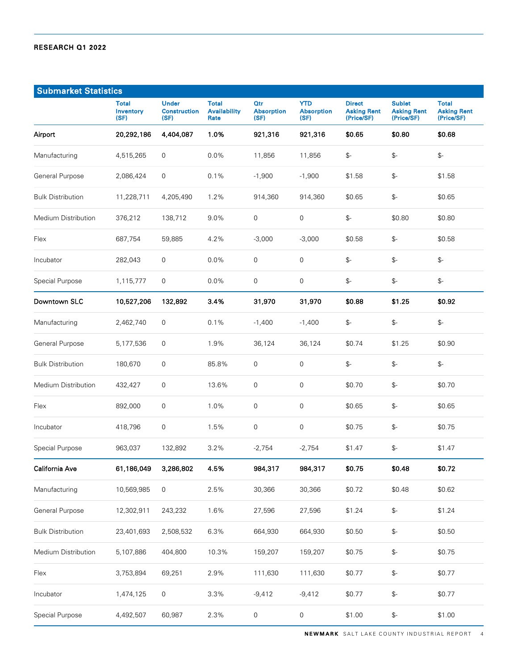| <b>Submarket Statistics</b> |                                   |                                             |                                             |                                         |                                         |                                                   |                                                   |                                                  |
|-----------------------------|-----------------------------------|---------------------------------------------|---------------------------------------------|-----------------------------------------|-----------------------------------------|---------------------------------------------------|---------------------------------------------------|--------------------------------------------------|
|                             | <b>Total</b><br>Inventory<br>(SF) | <b>Under</b><br><b>Construction</b><br>(SF) | <b>Total</b><br><b>Availability</b><br>Rate | <b>Qtr</b><br><b>Absorption</b><br>(SF) | <b>YTD</b><br><b>Absorption</b><br>(SF) | <b>Direct</b><br><b>Asking Rent</b><br>(Price/SF) | <b>Sublet</b><br><b>Asking Rent</b><br>(Price/SF) | <b>Total</b><br><b>Asking Rent</b><br>(Price/SF) |
| Airport                     | 20,292,186                        | 4,404,087                                   | 1.0%                                        | 921,316                                 | 921,316                                 | \$0.65                                            | \$0.80                                            | \$0.68                                           |
| Manufacturing               | 4,515,265                         | 0                                           | 0.0%                                        | 11,856                                  | 11,856                                  | $\mathbb{S}^-$                                    | \$-                                               | $\mathbb{S}^-$                                   |
| General Purpose             | 2,086,424                         | 0                                           | 0.1%                                        | $-1,900$                                | $-1,900$                                | \$1.58                                            | $\mathbb{S}^-$                                    | \$1.58                                           |
| <b>Bulk Distribution</b>    | 11,228,711                        | 4,205,490                                   | 1.2%                                        | 914,360                                 | 914,360                                 | \$0.65                                            | $\mathcal{L}$                                     | \$0.65                                           |
| Medium Distribution         | 376,212                           | 138,712                                     | 9.0%                                        | 0                                       | 0                                       | $\mathbb{S}^-$                                    | \$0.80                                            | \$0.80                                           |
| Flex                        | 687,754                           | 59,885                                      | 4.2%                                        | $-3,000$                                | $-3,000$                                | \$0.58                                            | $\mathcal{L}$                                     | \$0.58                                           |
| Incubator                   | 282,043                           | $\mathsf 0$                                 | 0.0%                                        | $\mathbf 0$                             | $\mathsf 0$                             | $\mathbb{S}^-$                                    | $\mathcal{L}$                                     | $\mathcal{L}$                                    |
| Special Purpose             | 1,115,777                         | 0                                           | 0.0%                                        | 0                                       | $\mathsf{O}\xspace$                     | $\mathbb{S}^-$                                    | \$-                                               | $\mathbb{S}^-$                                   |
| Downtown SLC                | 10,527,206                        | 132,892                                     | 3.4%                                        | 31,970                                  | 31,970                                  | \$0.88                                            | \$1.25                                            | \$0.92                                           |
| Manufacturing               | 2,462,740                         | 0                                           | 0.1%                                        | $-1,400$                                | $-1,400$                                | $\mathbb{S}^-$                                    | $\mathcal{L}$                                     | $\mathbb{S}^-$                                   |
| General Purpose             | 5,177,536                         | 0                                           | 1.9%                                        | 36,124                                  | 36,124                                  | \$0.74                                            | \$1.25                                            | \$0.90                                           |
| <b>Bulk Distribution</b>    | 180,670                           | 0                                           | 85.8%                                       | 0                                       | 0                                       | $\mathbb{S}^-$                                    | $\mathcal{L}$                                     | $\mathbb{S}^-$                                   |
| Medium Distribution         | 432,427                           | 0                                           | 13.6%                                       | 0                                       | 0                                       | \$0.70                                            | $\mathcal{L}$                                     | \$0.70                                           |
| Flex                        | 892,000                           | 0                                           | 1.0%                                        | 0                                       | 0                                       | \$0.65                                            | $\mathcal{L}$                                     | \$0.65                                           |
| Incubator                   | 418,796                           | 0                                           | 1.5%                                        | 0                                       | 0                                       | \$0.75                                            | $\mathcal{L}$                                     | \$0.75                                           |
| Special Purpose             | 963,037                           | 132,892                                     | 3.2%                                        | $-2,754$                                | $-2,754$                                | \$1.47                                            | $\mathcal{L}$                                     | \$1.47                                           |
| California Ave              | 61,186,049                        | 3,286,802                                   | 4.5%                                        | 984,317                                 | 984,317                                 | \$0.75                                            | \$0.48                                            | \$0.72                                           |
| Manufacturing               | 10,569,985                        | 0                                           | 2.5%                                        | 30,366                                  | 30,366                                  | \$0.72                                            | \$0.48                                            | \$0.62                                           |
| General Purpose             | 12,302,911                        | 243,232                                     | 1.6%                                        | 27,596                                  | 27,596                                  | \$1.24                                            | $\mathbb{S}^-$                                    | \$1.24                                           |
| <b>Bulk Distribution</b>    | 23,401,693                        | 2,508,532                                   | 6.3%                                        | 664,930                                 | 664,930                                 | \$0.50                                            | $\mathbb{S}^-$                                    | \$0.50                                           |
| Medium Distribution         | 5,107,886                         | 404,800                                     | 10.3%                                       | 159,207                                 | 159,207                                 | \$0.75                                            | $\mathbb{S}^-$                                    | \$0.75                                           |
| Flex                        | 3,753,894                         | 69,251                                      | 2.9%                                        | 111,630                                 | 111,630                                 | \$0.77                                            | $\mathbb{S}^-$                                    | \$0.77                                           |
| Incubator                   | 1,474,125                         | 0                                           | 3.3%                                        | $-9,412$                                | $-9,412$                                | \$0.77                                            | $\mathbb{S}^-$                                    | \$0.77                                           |
| Special Purpose             | 4,492,507                         | 60,987                                      | 2.3%                                        | 0                                       | 0                                       | \$1.00                                            | $\mathbb{S}^-$                                    | \$1.00                                           |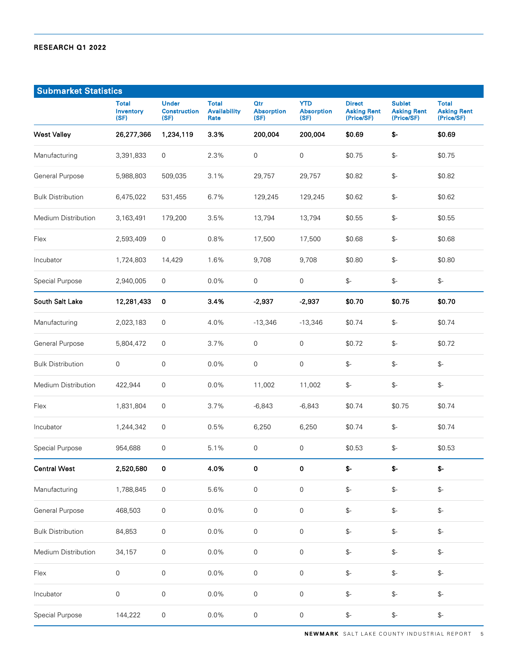| <b>Submarket Statistics</b> |                                   |                                             |                                             |                                  |                                         |                                                   |                                                   |                                                  |
|-----------------------------|-----------------------------------|---------------------------------------------|---------------------------------------------|----------------------------------|-----------------------------------------|---------------------------------------------------|---------------------------------------------------|--------------------------------------------------|
|                             | <b>Total</b><br>Inventory<br>(SF) | <b>Under</b><br><b>Construction</b><br>(SF) | <b>Total</b><br><b>Availability</b><br>Rate | Qtr<br><b>Absorption</b><br>(SF) | <b>YTD</b><br><b>Absorption</b><br>(SF) | <b>Direct</b><br><b>Asking Rent</b><br>(Price/SF) | <b>Sublet</b><br><b>Asking Rent</b><br>(Price/SF) | <b>Total</b><br><b>Asking Rent</b><br>(Price/SF) |
| <b>West Valley</b>          | 26,277,366                        | 1,234,119                                   | 3.3%                                        | 200,004                          | 200,004                                 | \$0.69                                            | $$-$                                              | \$0.69                                           |
| Manufacturing               | 3,391,833                         | $\mathbf 0$                                 | 2.3%                                        | $\mathsf{O}\xspace$              | $\mathbf 0$                             | \$0.75                                            | $\mathbb{S}^-$                                    | \$0.75                                           |
| General Purpose             | 5,988,803                         | 509,035                                     | 3.1%                                        | 29,757                           | 29,757                                  | \$0.82                                            | $\mathbb{S}^-$                                    | \$0.82                                           |
| <b>Bulk Distribution</b>    | 6,475,022                         | 531,455                                     | 6.7%                                        | 129,245                          | 129,245                                 | \$0.62                                            | $\mathbb{S}^-$                                    | \$0.62                                           |
| Medium Distribution         | 3,163,491                         | 179,200                                     | 3.5%                                        | 13,794                           | 13,794                                  | \$0.55                                            | $\mathcal{L}$                                     | \$0.55                                           |
| Flex                        | 2,593,409                         | $\mathsf{O}\xspace$                         | 0.8%                                        | 17,500                           | 17,500                                  | \$0.68                                            | $\mathcal{L}$                                     | \$0.68                                           |
| Incubator                   | 1,724,803                         | 14,429                                      | 1.6%                                        | 9,708                            | 9,708                                   | \$0.80                                            | $\mathcal{L}$                                     | \$0.80                                           |
| Special Purpose             | 2,940,005                         | $\mathsf{O}\xspace$                         | 0.0%                                        | $\mathsf{O}\xspace$              | $\mathbf 0$                             | $\mathbb{S}^-$                                    | $\mathbb{S}^-$                                    | $\mathbb{S}^-$                                   |
| South Salt Lake             | 12,281,433                        | $\mathbf 0$                                 | 3.4%                                        | $-2,937$                         | $-2,937$                                | \$0.70                                            | \$0.75                                            | \$0.70                                           |
| Manufacturing               | 2,023,183                         | $\boldsymbol{0}$                            | 4.0%                                        | $-13,346$                        | $-13,346$                               | \$0.74                                            | $\mathcal{L}$                                     | \$0.74                                           |
| General Purpose             | 5,804,472                         | $\mathbf 0$                                 | 3.7%                                        | 0                                | $\mathbf 0$                             | \$0.72                                            | $\mathbb{S}^-$                                    | \$0.72                                           |
| <b>Bulk Distribution</b>    | 0                                 | $\mathbf 0$                                 | 0.0%                                        | 0                                | $\mathbf 0$                             | $\mathbb{S}^-$                                    | $\mathcal{L}$                                     | $\mathbb{S}^-$                                   |
| Medium Distribution         | 422,944                           | 0                                           | 0.0%                                        | 11,002                           | 11,002                                  | $\mathcal{L}$                                     | $\mathcal{L}$                                     | $\mathbb{S}^-$                                   |
| Flex                        | 1,831,804                         | $\mathbf 0$                                 | 3.7%                                        | $-6,843$                         | $-6,843$                                | \$0.74                                            | \$0.75                                            | \$0.74                                           |
| Incubator                   | 1,244,342                         | $\mathbf 0$                                 | 0.5%                                        | 6,250                            | 6,250                                   | \$0.74                                            | $\mathcal{L}$                                     | \$0.74                                           |
| Special Purpose             | 954,688                           | $\boldsymbol{0}$                            | 5.1%                                        | 0                                | $\mathsf{O}\xspace$                     | \$0.53                                            | $\mathcal{L}$                                     | \$0.53                                           |
| <b>Central West</b>         | 2,520,580                         | 0                                           | 4.0%                                        | 0                                | 0                                       | \$-                                               | $S-$                                              | \$-                                              |
| Manufacturing               | 1,788,845                         | $\mathsf 0$                                 | 5.6%                                        | $\mathsf{O}\xspace$              | $\mathsf{O}\xspace$                     | $\mathbb{S}^-$                                    | $\mathbb{S}^-$                                    | $\mathbb{S}^-$                                   |
| General Purpose             | 468,503                           | $\mathsf{O}\xspace$                         | $0.0\%$                                     | $\mathsf{O}\xspace$              | $\mathsf{O}\xspace$                     | $\mathbb{S}^-$                                    | $\mathbb{S}^-$                                    | $\mathbb{S}^-$                                   |
| <b>Bulk Distribution</b>    | 84,853                            | $\mathsf{O}\xspace$                         | 0.0%                                        | $\mathsf{O}\xspace$              | $\mathbf 0$                             | $\mathbb{S}^-$                                    | $\mathbb{S}^-$                                    | $\mathbb{S}^-$                                   |
| Medium Distribution         | 34,157                            | $\mathsf{O}\xspace$                         | $0.0\%$                                     | 0                                | $\mathsf{O}\xspace$                     | $\mathbb{S}^-$                                    | $\mathbb{S}^-$                                    | $\mathbb{S}^-$                                   |
| Flex                        | 0                                 | $\mathsf{O}\xspace$                         | 0.0%                                        | $\mathsf{O}\xspace$              | $\mathsf{O}\xspace$                     | $\mathbb{S}^-$                                    | $\mathbb{S}^-$                                    | $\mathbb{S}^-$                                   |
| Incubator                   | 0                                 | $\mathsf{O}\xspace$                         | 0.0%                                        | 0                                | $\mathsf{O}\xspace$                     | $\mathbb{S}^-$                                    | $\mathbb{S}^-$                                    | $\mathbb{S}^-$                                   |
| Special Purpose             | 144,222                           | $\mathsf{O}\xspace$                         | 0.0%                                        | $\mathsf{O}\xspace$              | $\mathsf{O}\xspace$                     | $\mathbb{S}^-$                                    | $\mathbb{S}^-$                                    | $\mathbb{S}^-$                                   |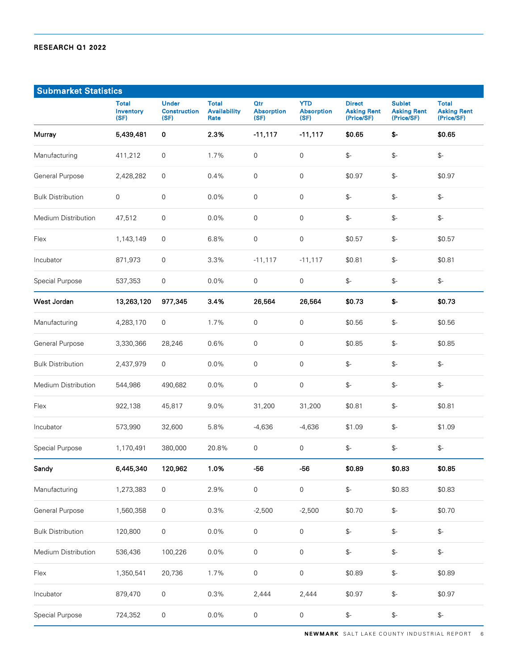| <b>Submarket Statistics</b> |                                   |                                             |                                             |                                         |                                         |                                                   |                                                   |                                                  |
|-----------------------------|-----------------------------------|---------------------------------------------|---------------------------------------------|-----------------------------------------|-----------------------------------------|---------------------------------------------------|---------------------------------------------------|--------------------------------------------------|
|                             | <b>Total</b><br>Inventory<br>(SF) | <b>Under</b><br><b>Construction</b><br>(SF) | <b>Total</b><br><b>Availability</b><br>Rate | <b>Qtr</b><br><b>Absorption</b><br>(SF) | <b>YTD</b><br><b>Absorption</b><br>(SF) | <b>Direct</b><br><b>Asking Rent</b><br>(Price/SF) | <b>Sublet</b><br><b>Asking Rent</b><br>(Price/SF) | <b>Total</b><br><b>Asking Rent</b><br>(Price/SF) |
| Murray                      | 5,439,481                         | 0                                           | 2.3%                                        | $-11,117$                               | $-11,117$                               | \$0.65                                            | \$-                                               | \$0.65                                           |
| Manufacturing               | 411,212                           | 0                                           | 1.7%                                        | $\mathsf{O}\xspace$                     | $\mathsf{O}\xspace$                     | $\mathbb{S}^-$                                    | $\mathcal{L}$                                     | $\mathbb{S}^-$                                   |
| General Purpose             | 2,428,282                         | $\mathsf 0$                                 | 0.4%                                        | $\mathsf{O}\xspace$                     | $\mathsf{O}\xspace$                     | \$0.97                                            | $\mathbb{S}^-$                                    | \$0.97                                           |
| <b>Bulk Distribution</b>    | 0                                 | $\mathsf{O}\xspace$                         | 0.0%                                        | $\mathsf{O}\xspace$                     | $\mathsf{O}\xspace$                     | $\mathbb{S}^-$                                    | $\mathbb{S}^-$                                    | $\mathbb{S}^-$                                   |
| Medium Distribution         | 47,512                            | $\mathsf{O}\xspace$                         | 0.0%                                        | $\mathsf{O}\xspace$                     | $\mathsf{O}\xspace$                     | $\mathbb{S}^-$                                    | $\mathbb{S}^-$                                    | $\mathbb{S}^-$                                   |
| Flex                        | 1,143,149                         | $\mathbf 0$                                 | 6.8%                                        | $\mathsf{O}\xspace$                     | $\mathsf{O}\xspace$                     | \$0.57                                            | $\mathcal{L}$                                     | \$0.57                                           |
| Incubator                   | 871,973                           | $\mathbf 0$                                 | 3.3%                                        | $-11,117$                               | $-11,117$                               | \$0.81                                            | $\mathcal{L}$                                     | \$0.81                                           |
| Special Purpose             | 537,353                           | $\mathsf{O}\xspace$                         | 0.0%                                        | $\mathsf{O}\xspace$                     | $\mathsf 0$                             | $\mathbb{S}^-$                                    | $\mathbb{S}^-$                                    | $\mathbb{S}^-$                                   |
| West Jordan                 | 13,263,120                        | 977,345                                     | 3.4%                                        | 26,564                                  | 26,564                                  | \$0.73                                            | \$-                                               | \$0.73                                           |
| Manufacturing               | 4,283,170                         | 0                                           | 1.7%                                        | $\mathbf 0$                             | $\mathsf{O}\xspace$                     | \$0.56                                            | $\mathcal{L}$                                     | \$0.56                                           |
| General Purpose             | 3,330,366                         | 28,246                                      | 0.6%                                        | $\mathbf 0$                             | $\mathsf{O}\xspace$                     | \$0.85                                            | $\mathcal{L}$                                     | \$0.85                                           |
| <b>Bulk Distribution</b>    | 2,437,979                         | 0                                           | 0.0%                                        | $\mathbf 0$                             | $\mathsf{O}\xspace$                     | $\mathbb{S}^-$                                    | $\mathcal{L}$                                     | $\mathbb{S}^-$                                   |
| Medium Distribution         | 544,986                           | 490,682                                     | 0.0%                                        | $\mathsf{O}\xspace$                     | $\mathsf{O}\xspace$                     | $\mathbb{S}^-$                                    | $\mathbb{S}^-$                                    | $\mathbb{S}^-$                                   |
| Flex                        | 922,138                           | 45,817                                      | 9.0%                                        | 31,200                                  | 31,200                                  | \$0.81                                            | $\mathcal{L}$                                     | \$0.81                                           |
| Incubator                   | 573,990                           | 32,600                                      | 5.8%                                        | $-4,636$                                | $-4,636$                                | \$1.09                                            | $\mathcal{L}$                                     | \$1.09                                           |
| Special Purpose             | 1,170,491                         | 380,000                                     | 20.8%                                       | 0                                       | $\mathsf{O}\xspace$                     | $\mathbb{S}^-$                                    | $\mathbb{S}^-$                                    | $\mathbb{S}^-$                                   |
| Sandy                       | 6,445,340                         | 120,962                                     | 1.0%                                        | $-56$                                   | $-56$                                   | \$0.89                                            | \$0.83                                            | \$0.85                                           |
| Manufacturing               | 1,273,383                         | $\mathsf{O}\xspace$                         | 2.9%                                        | $\mathsf{O}\xspace$                     | $\mbox{O}$                              | $\mathbb{S}^-$                                    | \$0.83                                            | \$0.83                                           |
| General Purpose             | 1,560,358                         | $\mathsf{O}\xspace$                         | 0.3%                                        | $-2,500$                                | $-2,500$                                | \$0.70                                            | $\mathbb{S}^-$                                    | \$0.70                                           |
| <b>Bulk Distribution</b>    | 120,800                           | $\mathsf{O}\xspace$                         | $0.0\%$                                     | $\mathsf{O}\xspace$                     | $\mathsf{O}\xspace$                     | $\mathbb{S}^-$                                    | \$-                                               | $\mathbb{S}^-$                                   |
| Medium Distribution         | 536,436                           | 100,226                                     | 0.0%                                        | $\mathsf{O}\xspace$                     | $\mathsf{O}\xspace$                     | $\mathbb{S}^-$                                    | \$-                                               | $\mathbb{S}^-$                                   |
| Flex                        | 1,350,541                         | 20,736                                      | 1.7%                                        | $\mathsf{O}\xspace$                     | $\mathsf{O}\xspace$                     | \$0.89                                            | $\mathbb{S}^-$                                    | \$0.89                                           |
| Incubator                   | 879,470                           | 0                                           | 0.3%                                        | 2,444                                   | 2,444                                   | \$0.97                                            | $\mathbb{S}^-$                                    | \$0.97                                           |
| Special Purpose             | 724,352                           | 0                                           | $0.0\%$                                     | $\mathsf{O}\xspace$                     | $\boldsymbol{0}$                        | $\mathbb{S}^-$                                    | $\mathbb{S}^-$                                    | $\mathbb{S}^-$                                   |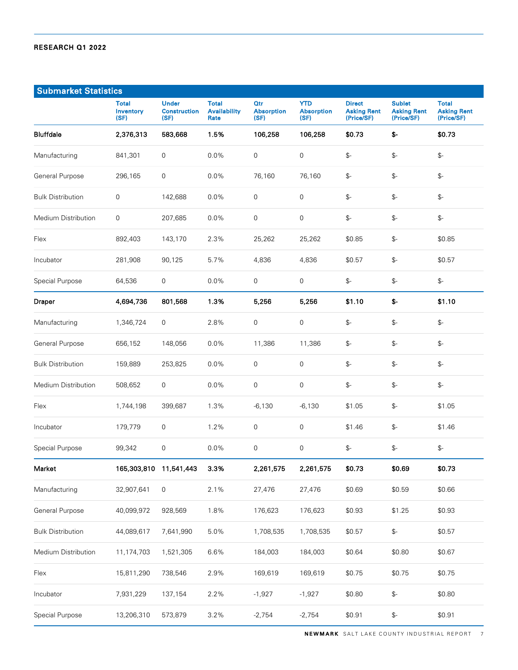| <b>Submarket Statistics</b> |                                   |                                             |                                             |                                         |                                         |                                                   |                                                   |                                                  |
|-----------------------------|-----------------------------------|---------------------------------------------|---------------------------------------------|-----------------------------------------|-----------------------------------------|---------------------------------------------------|---------------------------------------------------|--------------------------------------------------|
|                             | <b>Total</b><br>Inventory<br>(SF) | <b>Under</b><br><b>Construction</b><br>(SF) | <b>Total</b><br><b>Availability</b><br>Rate | <b>Qtr</b><br><b>Absorption</b><br>(SF) | <b>YTD</b><br><b>Absorption</b><br>(SF) | <b>Direct</b><br><b>Asking Rent</b><br>(Price/SF) | <b>Sublet</b><br><b>Asking Rent</b><br>(Price/SF) | <b>Total</b><br><b>Asking Rent</b><br>(Price/SF) |
| <b>Bluffdale</b>            | 2,376,313                         | 583,668                                     | 1.5%                                        | 106,258                                 | 106,258                                 | \$0.73                                            | \$-                                               | \$0.73                                           |
| Manufacturing               | 841,301                           | $\mathsf{O}\xspace$                         | 0.0%                                        | $\mathsf{O}\xspace$                     | $\mathsf{O}\xspace$                     | $\mathbb{S}^-$                                    | $\mathcal{L}$                                     | $\mathbb{S}^-$                                   |
| General Purpose             | 296,165                           | $\mathsf{O}\xspace$                         | 0.0%                                        | 76,160                                  | 76,160                                  | $\mathbb{S}^-$                                    | $\mathbb{S}^-$                                    | \$-                                              |
| <b>Bulk Distribution</b>    | $\boldsymbol{0}$                  | 142,688                                     | 0.0%                                        | $\mathsf{O}$                            | 0                                       | $\mathbb{S}^-$                                    | $\mathbb{S}^-$                                    | $\mathbb{S}^-$                                   |
| Medium Distribution         | $\mathbf 0$                       | 207,685                                     | 0.0%                                        | $\mathsf{O}\xspace$                     | $\mathsf{O}\xspace$                     | $\mathbb{S}^-$                                    | $\mathcal{L}$                                     | $\mathbb{S}^-$                                   |
| Flex                        | 892,403                           | 143,170                                     | 2.3%                                        | 25,262                                  | 25,262                                  | \$0.85                                            | $\mathbb{S}^-$                                    | \$0.85                                           |
| Incubator                   | 281.908                           | 90,125                                      | 5.7%                                        | 4,836                                   | 4,836                                   | \$0.57                                            | $\mathcal{L}$                                     | \$0.57                                           |
| Special Purpose             | 64,536                            | $\mathsf{O}\xspace$                         | 0.0%                                        | $\mathsf{O}\xspace$                     | $\mathsf{O}\xspace$                     | $\mathbb{S}^-$                                    | $\mathbb{S}^-$                                    | $\mathbb{S}^-$                                   |
| Draper                      | 4,694,736                         | 801,568                                     | 1.3%                                        | 5,256                                   | 5,256                                   | \$1.10                                            | \$-                                               | \$1.10                                           |
| Manufacturing               | 1,346,724                         | 0                                           | 2.8%                                        | $\mathbf 0$                             | 0                                       | $\mathbb{S}^-$                                    | $\mathcal{L}$                                     | $\mathbb{S}^-$                                   |
| General Purpose             | 656,152                           | 148,056                                     | 0.0%                                        | 11,386                                  | 11,386                                  | $\mathbb{S}^-$                                    | $\mathcal{L}$                                     | $\mathbb{S}^-$                                   |
| <b>Bulk Distribution</b>    | 159,889                           | 253,825                                     | 0.0%                                        | $\mathbf 0$                             | 0                                       | $\mathbb{S}^-$                                    | $\mathbb{S}^-$                                    | $\mathbb{S}^-$                                   |
| Medium Distribution         | 508,652                           | $\mathbf 0$                                 | 0.0%                                        | $\mathbf 0$                             | 0                                       | $\mathbb{S}^-$                                    | $\mathbb{S}^-$                                    | $\mathbb{S}^-$                                   |
| Flex                        | 1,744,198                         | 399,687                                     | 1.3%                                        | $-6,130$                                | $-6,130$                                | \$1.05                                            | $\mathbb{S}^-$                                    | \$1.05                                           |
| Incubator                   | 179,779                           | $\mathbf 0$                                 | 1.2%                                        | $\mathbf 0$                             | 0                                       | \$1.46                                            | $\mathcal{L}$                                     | \$1.46                                           |
| Special Purpose             | 99,342                            | $\mathsf{O}\xspace$                         | 0.0%                                        | $\mathsf{O}\xspace$                     | 0                                       | $\mathbb{S}^-$                                    | $\mathbb{S}^-$                                    | $\mathbb{S}^-$                                   |
| Market                      | 165,303,810 11,541,443            |                                             | 3.3%                                        | 2,261,575                               | 2,261,575                               | \$0.73                                            | \$0.69                                            | \$0.73                                           |
| Manufacturing               | 32,907,641                        | 0                                           | 2.1%                                        | 27,476                                  | 27,476                                  | \$0.69                                            | \$0.59                                            | \$0.66                                           |
| General Purpose             | 40,099,972                        | 928,569                                     | 1.8%                                        | 176,623                                 | 176,623                                 | \$0.93                                            | \$1.25                                            | \$0.93                                           |
| <b>Bulk Distribution</b>    | 44,089,617                        | 7,641,990                                   | 5.0%                                        | 1,708,535                               | 1,708,535                               | \$0.57                                            | $\mathbb{S}^-$                                    | \$0.57                                           |
| Medium Distribution         | 11,174,703                        | 1,521,305                                   | 6.6%                                        | 184,003                                 | 184,003                                 | \$0.64                                            | \$0.80                                            | \$0.67                                           |
| Flex                        | 15,811,290                        | 738,546                                     | 2.9%                                        | 169,619                                 | 169,619                                 | \$0.75                                            | \$0.75                                            | \$0.75                                           |
| Incubator                   | 7,931,229                         | 137,154                                     | 2.2%                                        | $-1,927$                                | $-1,927$                                | \$0.80                                            | \$-                                               | \$0.80                                           |
| Special Purpose             | 13,206,310                        | 573,879                                     | 3.2%                                        | $-2,754$                                | $-2,754$                                | \$0.91                                            | \$-                                               | \$0.91                                           |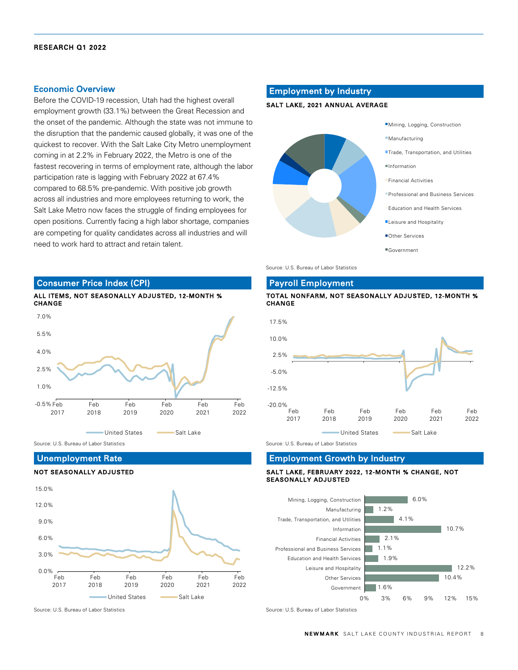#### Economic Overview

Before the COVID-19 recession, Utah had the highest overall employment growth (33.1%) between the Great Recession and the onset of the pandemic. Although the state was not immune to the disruption that the pandemic caused globally, it was one of the quickest to recover. With the Salt Lake City Metro unemployment coming in at 2.2% in February 2022, the Metro is one of the fastest recovering in terms of employment rate, although the labor participation rate is lagging with February 2022 at 67.4% compared to 68.5% pre-pandemic. With positive job growth across all industries and more employees returning to work, the Salt Lake Metro now faces the struggle of finding employees for open positions. Currently facing a high labor shortage, companies are competing for quality candidates across all industries and will need to work hard to attract and retain talent.

#### Employment by Industry

#### SALT LAKE, 2021 ANNUAL AVERAGE



Source: U.S. Bureau of Labor Statistics

# Consumer Price Index (CPI)



Source: U.S. Bureau of Labor Statistics Source: U.S. Bureau of Labor Statistics Source: U.S. Bureau of Labor Statistics

#### Unemployment Rate

#### NOT SEASONALLY ADJUSTED



Source: U.S. Bureau of Labor Statistics Source: U.S. Bureau of Labor Statistics Source: U.S. Bureau of Labor Statistics

# Payroll Employment

#### TOTAL NONFARM, NOT SEASONALLY ADJUSTED, 12-MONTH % CHANGE



#### Employment Growth by Industry

#### SALT LAKE, FEBRUARY 2022, 12-MONTH % CHANGE, NOT SEASONALLY ADJUSTED